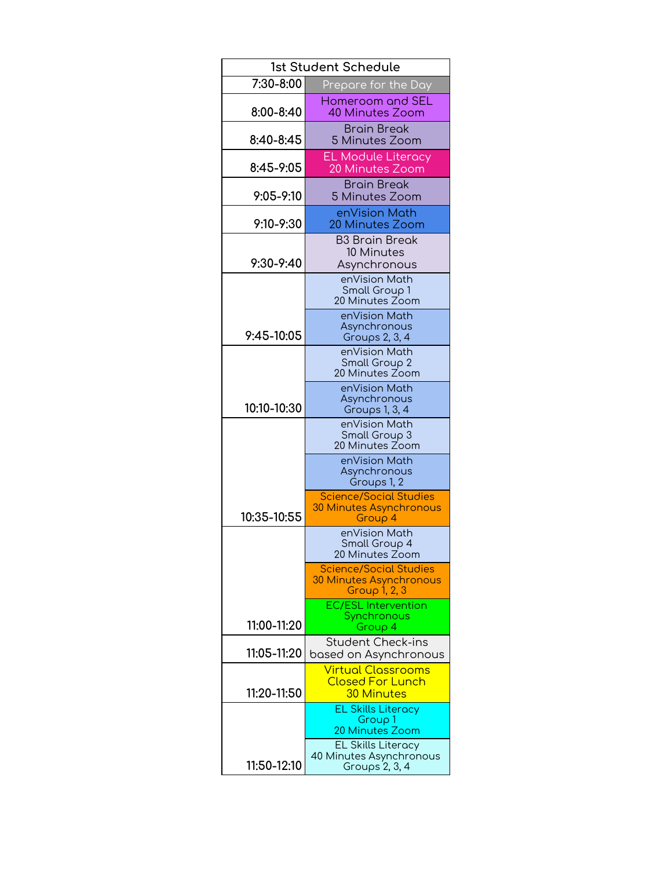| 1st Student Schedule |                                                                                  |
|----------------------|----------------------------------------------------------------------------------|
| 7:30-8:00            | Prepare for the Day                                                              |
| 8:00-8:40            | Homeroom and SEL<br>40 Minutes Zoom                                              |
| 8:40-8:45            | <b>Brain Break</b><br>5 Minutes Zoom                                             |
| 8:45-9:05            | <b>EL Module Literacy</b><br>20 Minutes Zoom                                     |
| $9:05 - 9:10$        | <b>Brain Break</b><br>5 Minutes Zoom                                             |
| 9:10-9:30            | enVision Math<br>20 Minutes Zoom                                                 |
| 9:30-9:40            | <b>B3 Brain Break</b><br>10 Minutes<br>Asynchronous                              |
|                      | enVision Math<br>Small Group 1<br>20 Minutes Zoom                                |
| 9:45-10:05           | enVision Math<br>Asynchronous<br>Groups 2, 3, 4                                  |
|                      | enVision Math<br>Small Group 2<br>20 Minutes Zoom                                |
| 10:10-10:30          | enVision Math<br>Asynchronous<br>Groups 1, 3, 4                                  |
|                      | enVision Math<br>Small Group 3<br>20 Minutes Zoom                                |
|                      | enVision Math<br>Asynchronous<br>Groups 1, 2                                     |
| 10:35-10:55          | <b>Science/Social Studies</b><br><b>30 Minutes Asynchronous</b><br>Group 4       |
|                      | enVision Math<br>Small Group 4<br>20 Minutes Zoom                                |
|                      | <b>Science/Social Studies</b><br><b>30 Minutes Asynchronous</b><br>Group 1, 2, 3 |
| 11:00-11:20          | <b>EC/ESL Intervention</b><br>Synchronous<br>Group 4                             |
| 11:05-11:20          | <b>Student Check-ins</b><br>based on Asynchronous                                |
| 11:20-11:50          | <u>Virtual Classrooms</u><br><b>Closed For Lunch</b><br>30 Minutes               |
|                      | <b>EL Skills Literacy</b><br>Group 1<br>20 Minutes Zoom                          |
| 11:50-12:10          | <b>EL Skills Literacy</b><br>40 Minutes Asynchronous<br>Groups 2, 3, 4           |